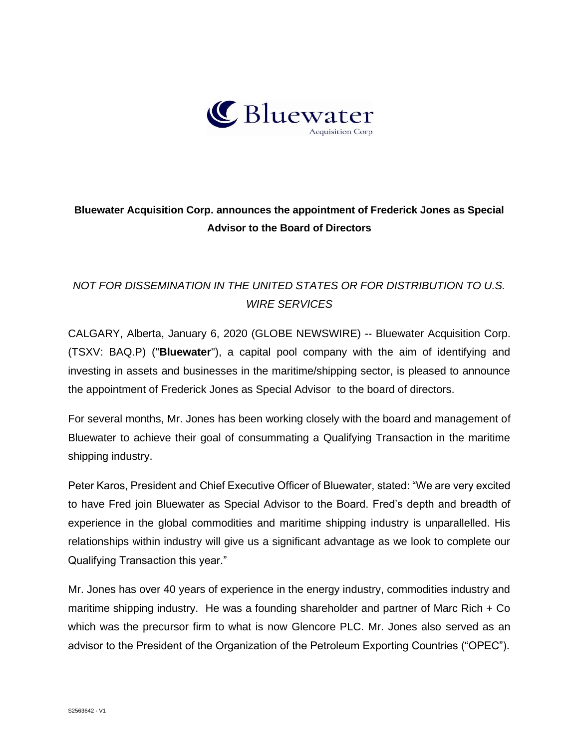

## **Bluewater Acquisition Corp. announces the appointment of Frederick Jones as Special Advisor to the Board of Directors**

## *NOT FOR DISSEMINATION IN THE UNITED STATES OR FOR DISTRIBUTION TO U.S. WIRE SERVICES*

CALGARY, Alberta, January 6, 2020 (GLOBE NEWSWIRE) -- Bluewater Acquisition Corp. (TSXV: BAQ.P) ("**Bluewater**"), a capital pool company with the aim of identifying and investing in assets and businesses in the maritime/shipping sector, is pleased to announce the appointment of Frederick Jones as Special Advisor to the board of directors.

For several months, Mr. Jones has been working closely with the board and management of Bluewater to achieve their goal of consummating a Qualifying Transaction in the maritime shipping industry.

Peter Karos, President and Chief Executive Officer of Bluewater, stated: "We are very excited to have Fred join Bluewater as Special Advisor to the Board. Fred's depth and breadth of experience in the global commodities and maritime shipping industry is unparallelled. His relationships within industry will give us a significant advantage as we look to complete our Qualifying Transaction this year."

Mr. Jones has over 40 years of experience in the energy industry, commodities industry and maritime shipping industry. He was a founding shareholder and partner of Marc Rich + Co which was the precursor firm to what is now Glencore PLC. Mr. Jones also served as an advisor to the President of the Organization of the Petroleum Exporting Countries ("OPEC").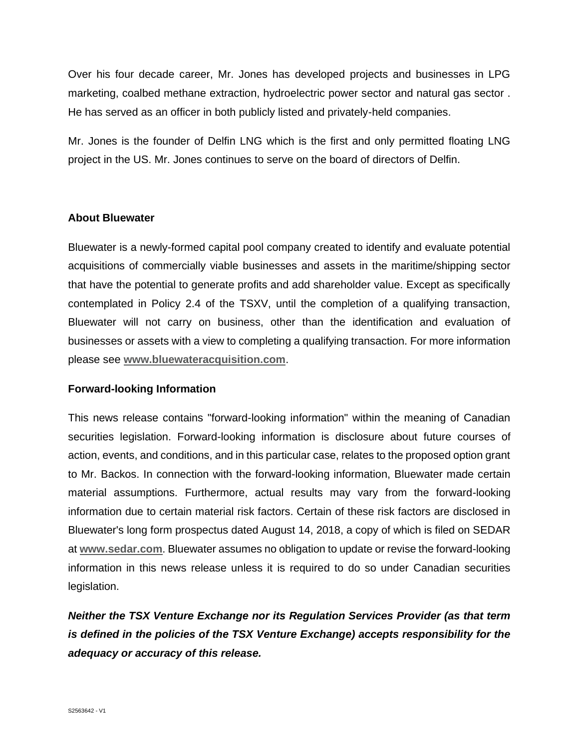Over his four decade career, Mr. Jones has developed projects and businesses in LPG marketing, coalbed methane extraction, hydroelectric power sector and natural gas sector . He has served as an officer in both publicly listed and privately-held companies.

Mr. Jones is the founder of Delfin LNG which is the first and only permitted floating LNG project in the US. Mr. Jones continues to serve on the board of directors of Delfin.

## **About Bluewater**

Bluewater is a newly-formed capital pool company created to identify and evaluate potential acquisitions of commercially viable businesses and assets in the maritime/shipping sector that have the potential to generate profits and add shareholder value. Except as specifically contemplated in Policy 2.4 of the TSXV, until the completion of a qualifying transaction, Bluewater will not carry on business, other than the identification and evaluation of businesses or assets with a view to completing a qualifying transaction. For more information please see **[www.bluewateracquisition.com](http://www.bluewateracquisition.com/)**.

## **Forward-looking Information**

This news release contains "forward-looking information" within the meaning of Canadian securities legislation. Forward-looking information is disclosure about future courses of action, events, and conditions, and in this particular case, relates to the proposed option grant to Mr. Backos. In connection with the forward-looking information, Bluewater made certain material assumptions. Furthermore, actual results may vary from the forward-looking information due to certain material risk factors. Certain of these risk factors are disclosed in Bluewater's long form prospectus dated August 14, 2018, a copy of which is filed on SEDAR at **[www.sedar.com](http://www.sedar.com/)**. Bluewater assumes no obligation to update or revise the forward-looking information in this news release unless it is required to do so under Canadian securities legislation.

*Neither the TSX Venture Exchange nor its Regulation Services Provider (as that term is defined in the policies of the TSX Venture Exchange) accepts responsibility for the adequacy or accuracy of this release.*